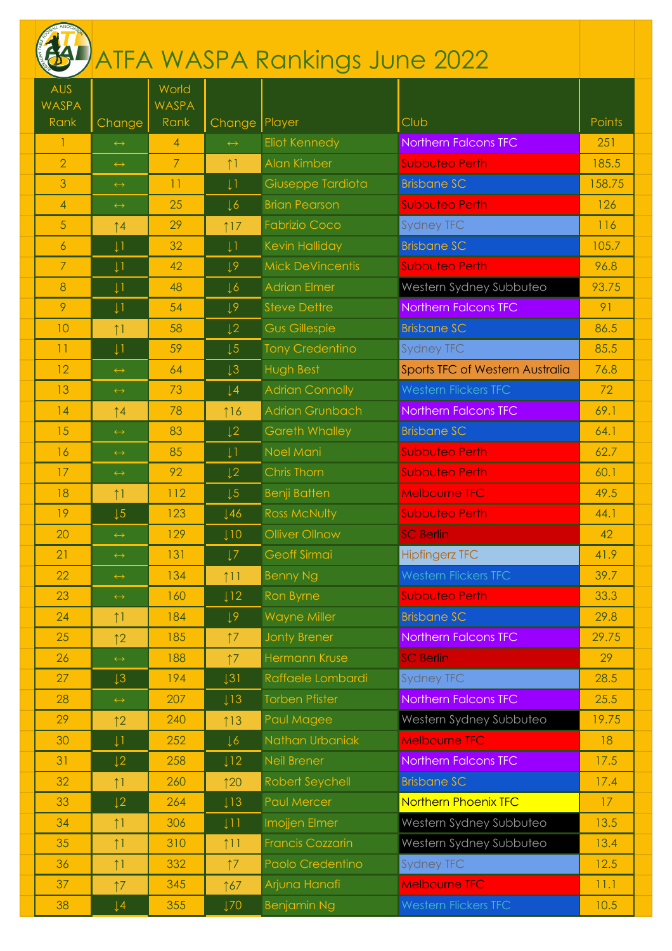|                            |                       |                       |                   | ATFA WASPA Rankings June 2022 |                                 |        |
|----------------------------|-----------------------|-----------------------|-------------------|-------------------------------|---------------------------------|--------|
| <b>AUS</b><br><b>WASPA</b> |                       | World<br><b>WASPA</b> |                   |                               |                                 |        |
| Rank                       | Change                | Rank                  | Change   Player   |                               | Club                            | Points |
| $\mathbf{1}$               | $\leftrightarrow$     | $\overline{4}$        | $\leftrightarrow$ | <b>Eliot Kennedy</b>          | <b>Northern Falcons TFC</b>     | 251    |
| $\overline{2}$             | $\leftrightarrow$     | $\overline{7}$        | $\uparrow$ 1      | Alan Kimber                   | <b>Subbuteo Perth</b>           | 185.5  |
| 3                          | $\leftrightarrow$     | 11                    | $\downarrow$ 1    | Giuseppe Tardiota             | <b>Brisbane SC</b>              | 158.75 |
| 4                          | $\leftrightarrow$     | 25                    | $\downarrow$ 6    | <b>Brian Pearson</b>          | <b>Subbuteo Perth</b>           | 126    |
| 5                          | $\uparrow$ 4          | 29                    | 17                | <b>Fabrizio Coco</b>          | <b>Sydney TFC</b>               | 116    |
| 6                          | $\downarrow$ 1        | 32                    | $\downarrow$ 1    | <b>Kevin Halliday</b>         | <b>Brisbane SC</b>              | 105.7  |
| $\overline{7}$             | $\downarrow$ 1        | 42                    | 19                | <b>Mick DeVincentis</b>       | <b>Subbuteo Perth</b>           | 96.8   |
| 8                          | $\downarrow$ 1        | 48                    | $\sqrt{6}$        | <b>Adrian Elmer</b>           | Western Sydney Subbuteo         | 93.75  |
| 9                          | $\downarrow$ 1        | 54                    | $\downarrow$ 9    | <b>Steve Dettre</b>           | Northern Falcons TFC            | 91     |
| 10                         | 11                    | 58                    | $\sqrt{2}$        | <b>Gus Gillespie</b>          | <b>Brisbane SC</b>              | 86.5   |
| 11                         | $\downarrow$ 1        | 59                    | $\sqrt{5}$        | <b>Tony Credentino</b>        | <b>Sydney TFC</b>               | 85.5   |
| 12                         | $\leftrightarrow$     | 64                    | $\downarrow$ 3    | <b>Hugh Best</b>              | Sports TFC of Western Australia | 76.8   |
| 13                         | $\leftrightarrow$     | 73                    | $\downarrow$ 4    | <b>Adrian Connolly</b>        | <b>Western Flickers TFC</b>     | 72     |
| 14                         | $\uparrow$ 4          | 78                    | 116               | <b>Adrian Grunbach</b>        | <b>Northern Falcons TFC</b>     | 69.1   |
| 15                         | $\leftrightarrow$     | 83                    | $\sqrt{2}$        | <b>Gareth Whalley</b>         | <b>Brisbane SC</b>              | 64.1   |
| 16                         | $\leftrightarrow$     | 85                    | $\downarrow$ 1    | Noel Mani                     | <b>Subbuteo Perth</b>           | 62.7   |
| 17                         | $\leftrightarrow$     | 92                    | $\downarrow$ 2    | Chris Thorn                   | <b>Subbuteo Perth</b>           | 60.1   |
| 18                         | $\uparrow$ 1          | 112                   | $\downarrow 5$    | <b>Benji Batten</b>           | <b>Melbourne TFC</b>            | 49.5   |
| 19                         | $\sqrt{5}$            | 123                   | 146               | <b>Ross McNulty</b>           | <b>Subbuteo Perth</b>           | 44.1   |
| 20                         | $\leftrightarrow$     | 129                   | 110               | Olliver Ollnow                | <b>SC Berlin</b>                | 42     |
| 21                         | $\leftrightarrow$     | 131                   | $\downarrow$ 7    | Geoff Sirmai                  | <b>Hipfingerz TFC</b>           | 41.9   |
| 22                         | $\longleftrightarrow$ | 134                   | 111               | <b>Benny Ng</b>               | <b>Western Flickers TFC</b>     | 39.7   |
| 23                         | $\leftrightarrow$     | 160                   | l12               | Ron Byrne                     | <b>Subbuteo Perth</b>           | 33.3   |
| 24                         | $\uparrow$ 1          | 184                   | 19                | <b>Wayne Miller</b>           | <b>Brisbane SC</b>              | 29.8   |
| 25                         | 12                    | 185                   | 17                | <b>Jonty Brener</b>           | <b>Northern Falcons TFC</b>     | 29.75  |
| 26                         | $\leftrightarrow$     | 188                   | 17                | <b>Hermann Kruse</b>          | <b>SC Berlin</b>                | 29     |
| 27                         | $\downarrow$ 3        | 194                   | $\downarrow$ 31   | Raffaele Lombardi             | <b>Sydney TFC</b>               | 28.5   |
| 28                         | $\longleftrightarrow$ | 207                   | l13               | <b>Torben Pfister</b>         | <b>Northern Falcons TFC</b>     | 25.5   |
| 29                         | 12                    | 240                   | 13                | Paul Magee                    | Western Sydney Subbuteo         | 19.75  |
| 30                         | $\downarrow$ 1        | 252                   | $\downarrow$ 6    | Nathan Urbaniak               | <b>Melbourne TFC</b>            | 18     |
| 31                         | $\downarrow$ 2        | 258                   | 112               | Neil Brener                   | Northern Falcons TFC            | 17.5   |
| 32                         | $\uparrow$ 1          | 260                   | 120               | Robert Seychell               | <b>Brisbane SC</b>              | 17.4   |
| 33                         | $\downarrow$ 2        | 264                   | $\downarrow$ 13   | <b>Paul Mercer</b>            | <b>Northern Phoenix TFC</b>     | 17     |
| 34                         | $\uparrow$ 1          | 306                   | l11               | Imojjen Elmer                 | Western Sydney Subbuteo         | 13.5   |
| 35                         | $\uparrow$ 1          | 310                   | 111               | <b>Francis Cozzarin</b>       | Western Sydney Subbuteo         | 13.4   |
| 36                         | $\uparrow$ 1          | 332                   | $\uparrow$ 7      | Paolo Credentino              | <b>Sydney TFC</b>               | 12.5   |
| 37                         | 17                    | 345                   | 167               | Arjuna Hanafi                 | <b>Melbourne TFC</b>            | 11.1   |
| 38                         | $\downarrow$ 4        | 355                   | 170               | <b>Benjamin Ng</b>            | <b>Western Flickers TFC</b>     | 10.5   |